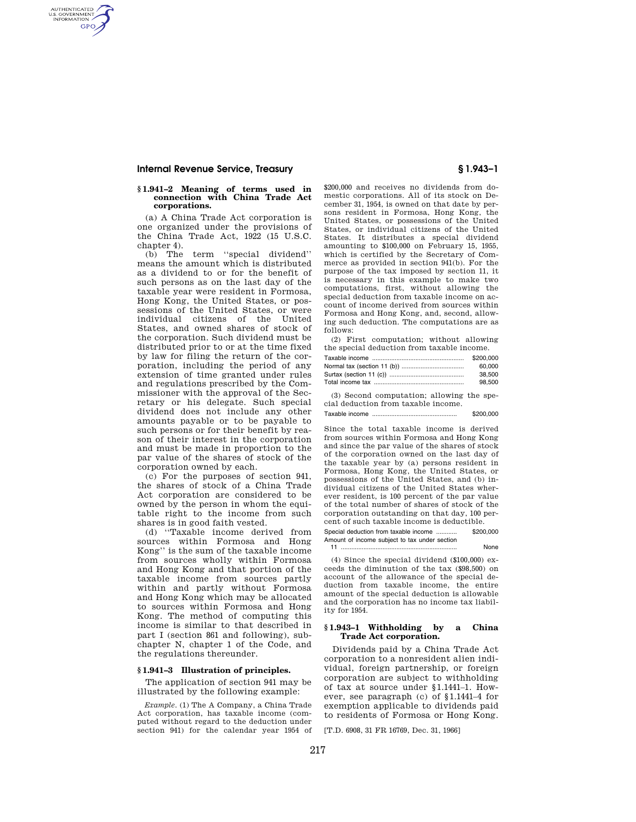# **Internal Revenue Service, Treasury § 1.943–1**

AUTHENTICATED<br>U.S. GOVERNMENT<br>INFORMATION **GPO** 

#### **§ 1.941–2 Meaning of terms used in connection with China Trade Act corporations.**

(a) A China Trade Act corporation is one organized under the provisions of the China Trade Act, 1922 (15 U.S.C. chapter 4).

(b) The term ''special dividend'' means the amount which is distributed as a dividend to or for the benefit of such persons as on the last day of the taxable year were resident in Formosa, Hong Kong, the United States, or possessions of the United States, or were individual citizens of the United States, and owned shares of stock of the corporation. Such dividend must be distributed prior to or at the time fixed by law for filing the return of the corporation, including the period of any extension of time granted under rules and regulations prescribed by the Commissioner with the approval of the Secretary or his delegate. Such special dividend does not include any other amounts payable or to be payable to such persons or for their benefit by reason of their interest in the corporation and must be made in proportion to the par value of the shares of stock of the corporation owned by each.

(c) For the purposes of section 941, the shares of stock of a China Trade Act corporation are considered to be owned by the person in whom the equitable right to the income from such shares is in good faith vested.

(d) ''Taxable income derived from sources within Formosa and Hong Kong'' is the sum of the taxable income from sources wholly within Formosa and Hong Kong and that portion of the taxable income from sources partly within and partly without Formosa and Hong Kong which may be allocated to sources within Formosa and Hong Kong. The method of computing this income is similar to that described in part I (section 861 and following), subchapter N, chapter 1 of the Code, and the regulations thereunder.

### **§ 1.941–3 Illustration of principles.**

The application of section 941 may be illustrated by the following example:

*Example.* (1) The A Company, a China Trade Act corporation, has taxable income (computed without regard to the deduction under section 941) for the calendar year 1954 of

\$200,000 and receives no dividends from domestic corporations. All of its stock on December 31, 1954, is owned on that date by persons resident in Formosa, Hong Kong, the United States, or possessions of the United States, or individual citizens of the United States. It distributes a special dividend amounting to \$100,000 on February 15, 1955, which is certified by the Secretary of Commerce as provided in section 941(b). For the purpose of the tax imposed by section 11, it is necessary in this example to make two computations, first, without allowing the special deduction from taxable income on account of income derived from sources within Formosa and Hong Kong, and, second, allowing such deduction. The computations are as follows:

(2) First computation; without allowing the special deduction from taxable income.

| \$200,000 |
|-----------|
| 60.000    |
| 38.500    |
| 98.500    |

(3) Second computation; allowing the special deduction from taxable income.

Taxable income ................................................. \$200,000

Since the total taxable income is derived from sources within Formosa and Hong Kong and since the par value of the shares of stock of the corporation owned on the last day of the taxable year by (a) persons resident in Formosa, Hong Kong, the United States, or possessions of the United States, and (b) individual citizens of the United States wherever resident, is 100 percent of the par value of the total number of shares of stock of the corporation outstanding on that day, 100 percent of such taxable income is deductible.

Special deduction from taxable income ............ \$200,000 Amount of income subject to tax under section 11 ................................................................... None

(4) Since the special dividend (\$100,000) exceeds the diminution of the tax (\$98,500) on account of the allowance of the special deduction from taxable income, the entire amount of the special deduction is allowable and the corporation has no income tax liability for 1954.

#### **§ 1.943–1 Withholding by a China Trade Act corporation.**

Dividends paid by a China Trade Act corporation to a nonresident alien individual, foreign partnership, or foreign corporation are subject to withholding of tax at source under §1.1441–1. However, see paragraph (c) of §1.1441–4 for exemption applicable to dividends paid to residents of Formosa or Hong Kong.

[T.D. 6908, 31 FR 16769, Dec. 31, 1966]